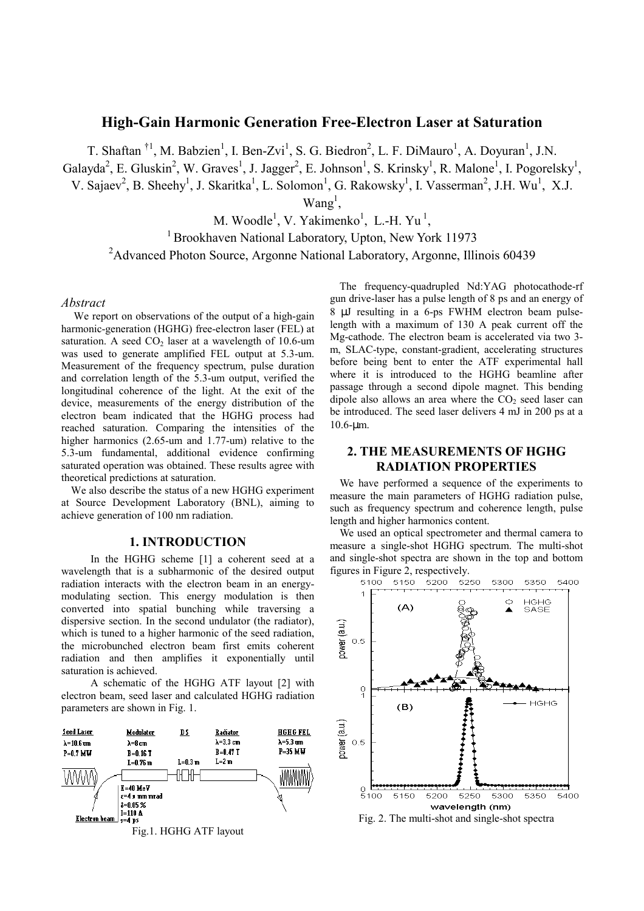# **High-Gain Harmonic Generation Free-Electron Laser at Saturation**

T. Shaftan<sup>†1</sup>, M. Babzien<sup>1</sup>, I. Ben-Zvi<sup>1</sup>, S. G. Biedron<sup>2</sup>, L. F. DiMauro<sup>1</sup>, A. Doyuran<sup>1</sup>, J.N.

Galayda<sup>2</sup>, E. Gluskin<sup>2</sup>, W. Graves<sup>1</sup>, J. Jagger<sup>2</sup>, E. Johnson<sup>1</sup>, S. Krinsky<sup>1</sup>, R. Malone<sup>1</sup>, I. Pogorelsky<sup>1</sup>,

V. Sajaev<sup>2</sup>, B. Sheehy<sup>1</sup>, J. Skaritka<sup>1</sup>, L. Solomon<sup>1</sup>, G. Rakowsky<sup>1</sup>, I. Vasserman<sup>2</sup>, J.H. Wu<sup>1</sup>, X.J.

 $Wang<sup>1</sup>$ ,

M. Woodle<sup>1</sup>, V. Yakimenko<sup>1</sup>

 $<sup>1</sup>$  Brookhaven National Laboratory, Upton, New York 11973</sup>

<sup>2</sup>Advanced Photon Source, Argonne National Laboratory, Argonne, Illinois 60439

#### *Abstract*

We report on observations of the output of a high-gain harmonic-generation (HGHG) free-electron laser (FEL) at saturation. A seed  $CO<sub>2</sub>$  laser at a wavelength of 10.6-um was used to generate amplified FEL output at 5.3-um. Measurement of the frequency spectrum, pulse duration and correlation length of the 5.3-um output, verified the longitudinal coherence of the light. At the exit of the device, measurements of the energy distribution of the electron beam indicated that the HGHG process had reached saturation. Comparing the intensities of the higher harmonics (2.65-um and 1.77-um) relative to the 5.3-um fundamental, additional evidence confirming saturated operation was obtained. These results agree with theoretical predictions at saturation.

We also describe the status of a new HGHG experiment at Source Development Laboratory (BNL), aiming to achieve generation of 100 nm radiation.

### **1. INTRODUCTION**

In the HGHG scheme [1] a coherent seed at a wavelength that is a subharmonic of the desired output radiation interacts with the electron beam in an energymodulating section. This energy modulation is then converted into spatial bunching while traversing a dispersive section. In the second undulator (the radiator), which is tuned to a higher harmonic of the seed radiation, the microbunched electron beam first emits coherent radiation and then amplifies it exponentially until saturation is achieved.

A schematic of the HGHG ATF layout [2] with electron beam, seed laser and calculated HGHG radiation parameters are shown in Fig. 1.



The frequency-quadrupled Nd:YAG photocathode-rf gun drive-laser has a pulse length of 8 ps and an energy of 8 µJ resulting in a 6-ps FWHM electron beam pulselength with a maximum of 130 A peak current off the Mg-cathode. The electron beam is accelerated via two 3 m, SLAC-type, constant-gradient, accelerating structures before being bent to enter the ATF experimental hall where it is introduced to the HGHG beamline after passage through a second dipole magnet. This bending dipole also allows an area where the  $CO<sub>2</sub>$  seed laser can be introduced. The seed laser delivers 4 mJ in 200 ps at a 10.6-µm.

## **2. THE MEASUREMENTS OF HGHG RADIATION PROPERTIES**

We have performed a sequence of the experiments to measure the main parameters of HGHG radiation pulse, such as frequency spectrum and coherence length, pulse length and higher harmonics content.

We used an optical spectrometer and thermal camera to measure a single-shot HGHG spectrum. The multi-shot and single-shot spectra are shown in the top and bottom

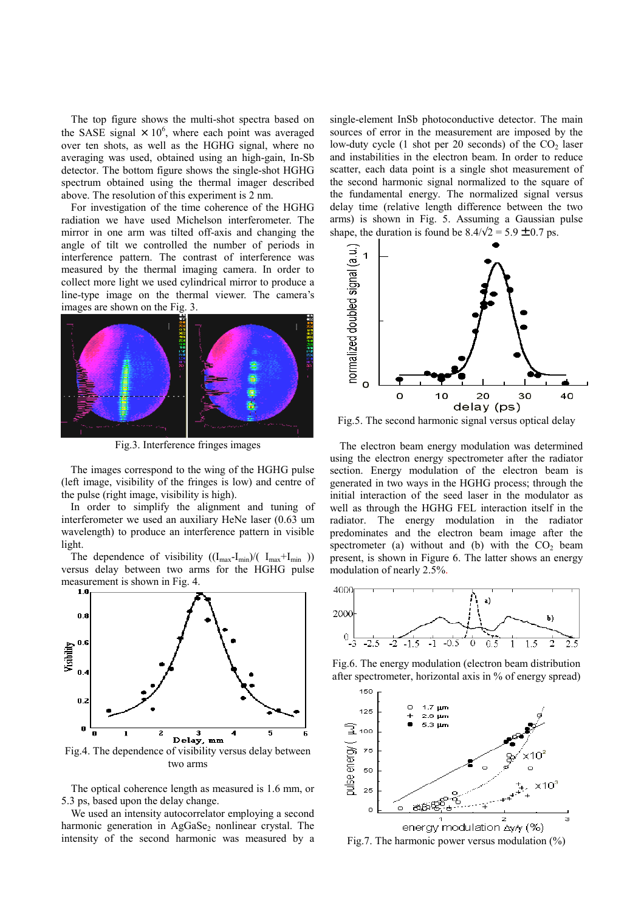The top figure shows the multi-shot spectra based on the SASE signal  $\times$  10<sup>6</sup>, where each point was averaged over ten shots, as well as the HGHG signal, where no averaging was used, obtained using an high-gain, In-Sb detector. The bottom figure shows the single-shot HGHG spectrum obtained using the thermal imager described above. The resolution of this experiment is 2 nm.

For investigation of the time coherence of the HGHG radiation we have used Michelson interferometer. The mirror in one arm was tilted off-axis and changing the angle of tilt we controlled the number of periods in interference pattern. The contrast of interference was measured by the thermal imaging camera. In order to collect more light we used cylindrical mirror to produce a line-type image on the thermal viewer. The camera's images are shown on the Fig. 3.



Fig.3. Interference fringes images

The images correspond to the wing of the HGHG pulse (left image, visibility of the fringes is low) and centre of the pulse (right image, visibility is high).

In order to simplify the alignment and tuning of interferometer we used an auxiliary HeNe laser (0.63 um wavelength) to produce an interference pattern in visible light.

The dependence of visibility  $((I_{max}-I_{min})/(I_{max}+I_{min}))$ versus delay between two arms for the HGHG pulse measurement is shown in Fig. 4.



Fig.4. The dependence of visibility versus delay between two arms

The optical coherence length as measured is 1.6 mm, or 5.3 ps, based upon the delay change.

We used an intensity autocorrelator employing a second harmonic generation in AgGaSe<sub>2</sub> nonlinear crystal. The intensity of the second harmonic was measured by a

single-element InSb photoconductive detector. The main sources of error in the measurement are imposed by the low-duty cycle  $(1 \text{ shot per } 20 \text{ seconds})$  of the  $CO<sub>2</sub>$  laser and instabilities in the electron beam. In order to reduce scatter, each data point is a single shot measurement of the second harmonic signal normalized to the square of the fundamental energy. The normalized signal versus delay time (relative length difference between the two arms) is shown in Fig. 5. Assuming a Gaussian pulse shape, the duration is found be  $8.4/\sqrt{2} = 5.9 \pm 0.7$  ps.



Fig.5. The second harmonic signal versus optical delay

The electron beam energy modulation was determined using the electron energy spectrometer after the radiator section. Energy modulation of the electron beam is generated in two ways in the HGHG process; through the initial interaction of the seed laser in the modulator as well as through the HGHG FEL interaction itself in the radiator. The energy modulation in the radiator predominates and the electron beam image after the spectrometer (a) without and (b) with the  $CO<sub>2</sub>$  beam present, is shown in Figure 6. The latter shows an energy modulation of nearly 2.5%.



Fig.6. The energy modulation (electron beam distribution after spectrometer, horizontal axis in % of energy spread)



Fig.7. The harmonic power versus modulation  $(\%)$